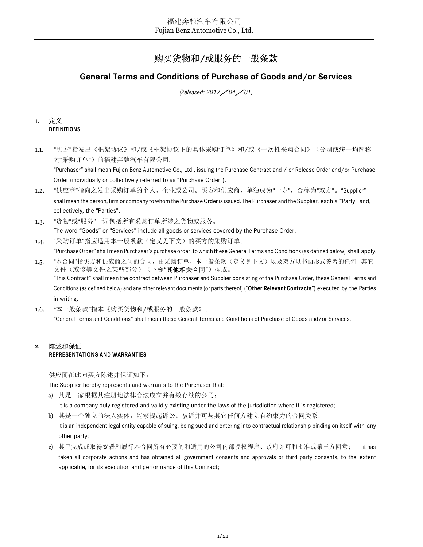# 购买货物和/或服务的一般条款

## General Terms and Conditions of Purchase of Goods and/or Services

(Released: 2017/04/01)

## 1. 定义 DEFINITIONS

1.1. "买方"指发出《框架协议》和/或《框架协议下的具体采购订单》和/或《一次性采购合同》(分别或统一均简称 为"采购订单")的福建奔驰汽车有限公司. "Purchaser" shall mean Fujian Benz Automotive Co., Ltd., issuing the Purchase Contract and / or Release Order and/or Purchase

Order (individually or collectively referred to as "Purchase Order").

- 1.2. "供应商"指向之发出采购订单的个人、企业或公司。买方和供应商,单独成为"一方",合称为"双方"。"Supplier" shall mean the person, firm or company to whom the Purchase Order is issued. The Purchaser and the Supplier, each a "Party" and, collectively, the "Parties".
- 1.3. "货物"或"服务"一词包括所有采购订单所涉之货物或服务。 The word "Goods" or "Services" include all goods or services covered by the Purchase Order.
- 1.4. "采购订单"指应适用本一般条款(定义见下文)的买方的采购订单。 "Purchase Order" shall mean Purchaser's purchase order, to which these General Terms and Conditions (as defined below) shall apply.
- 1.5. "本合同"指买方和供应商之间的合同,由采购订单、本一般条款(定义见下文)以及双方以书面形式签署的任何 其它 文件(或该等文件之某些部分)(下称"**其他相关合同**")构成。 "This Contract" shall mean the contract between Purchaser and Supplier consisting of the Purchase Order, these General Terms and Conditions (as defined below) and any other relevant documents (or parts thereof) ("Other Relevant Contracts") executed by the Parties in writing.
- 1.6. "本一般条款"指本《购买货物和/或服务的一般条款》。 "General Terms and Conditions" shall mean these General Terms and Conditions of Purchase of Goods and/or Services.

## 2. 陈述和保证 REPRESENTATIONS AND WARRANTIES

供应商在此向买方陈述并保证如下:

The Supplier hereby represents and warrants to the Purchaser that:

a) 其是一家根据其注册地法律合法成立并有效存续的公司;

it is a company duly registered and validly existing under the laws of the jurisdiction where it is registered;

- b) 其是一个独立的法人实体,能够提起诉讼、被诉并可与其它任何方建立有约束力的合同关系; it is an independent legal entity capable of suing, being sued and entering into contractual relationship binding on itself with any other party;
- c) 其已完成或取得签署和履行本合同所有必要的和适用的公司内部授权程序、政府许可和批准或第三方同意; it has taken all corporate actions and has obtained all government consents and approvals or third party consents, to the extent applicable, for its execution and performance of this Contract;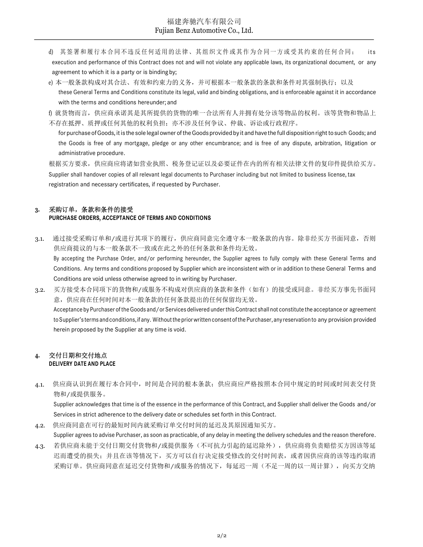- 福建奔驰汽车有限公司<br>
Pujian Benz Automotive Co., Ltd.<br>
d) 其签署和履行本合同不违反任何适用的法律、其组织文件或其作为合同一方或受其约束的任何合同; its<br>
execution and performance of this Contract does not and will not violate any applicable laws, its organizational document execution and performance of this Contract does not and will not violate any applicable laws, its organizational document, or any agreement to which it is a party or is binding by;
- e) 本一般条款构成对其合法、有效和约束力的义务,并可根据本一般条款的条款和条件对其强制执行;以及 these General Terms and Conditions constitute its legal, valid and binding obligations, and is enforceable against it in accordance with the terms and conditions hereunder; and

f) 就货物而言,供应商承诺其是其所提供的货物的唯一合法所有人并拥有处分该等物品的权利。该等货物和物品上 不存在抵押、质押或任何其他的权利负担;亦不涉及任何争议、仲裁、诉讼或行政程序。

for purchase of Goods, it is the sole legal owner of the Goods provided by it and have the full disposition right to such Goods; and the Goods is free of any mortgage, pledge or any other encumbrance; and is free of any dispute, arbitration, litigation or administrative procedure.

根据买方要求,供应商应将诸如营业执照、税务登记证以及必要证件在内的所有相关法律文件的复印件提供给买方。 Supplier shall handover copies of all relevant legal documents to Purchaser including but not limited to business license, tax registration and necessary certificates, if requested by Purchaser.

## 3. 采购订单,条款和条件的接受 PURCHASE ORDERS, ACCEPTANCE OF TERMS AND CONDITIONS

- 3.1. 通过接受采购订单和/或进行其项下的履行,供应商同意完全遵守本一般条款的内容。除非经买方书面同意,否则 供应商提议的与本一般条款不一致或在此之外的任何条款和条件均无效。 By accepting the Purchase Order, and/or performing hereunder, the Supplier agrees to fully comply with these General Terms and Conditions. Any terms and conditions proposed by Supplier which are inconsistent with or in addition to these General Terms and Conditions are void unless otherwise agreed to in writing by Purchaser.
- 3.2. 买方接受本合同项下的货物和/或服务不构成对供应商的条款和条件(如有)的接受或同意。非经买方事先书面同 意,供应商在任何时间对本一般条款的任何条款提出的任何保留均无效。 Acceptance by Purchaser of the Goods and/or Services delivered under this Contract shall not constitute the acceptance or agreement to Supplier's terms and conditions, if any. Without the prior written consent of the Purchaser, any reservation to any provision provided herein proposed by the Supplier at any time is void.

#### 4. 交付日期和交付地点 DELIVERY DATE AND PLACE

4.1. 供应商认识到在履行本合同中,时间是合同的根本条款;供应商应严格按照本合同中规定的时间或时间表交付货 物和/或提供服务。

Supplier acknowledges that time is of the essence in the performance of this Contract, and Supplier shall deliver the Goods and/or Services in strict adherence to the delivery date or schedules set forth in this Contract.

4.2. 供应商同意在可行的最短时间内就采购订单交付时间的延迟及其原因通知买方。

Supplier agrees to advise Purchaser, as soon as practicable, of any delay in meeting the delivery schedules and the reason therefore.

4.3. 若供应商未能于交付日期交付货物和/或提供服务(不可抗力引起的延迟除外),供应商将负责赔偿买方因该等延 迟而遭受的损失;并且在该等情况下,买方可以自行决定接受修改的交付时间表,或者因供应商的该等违约取消 采购订单。供应商同意在延迟交付货物和/或服务的情况下,每延迟一周(不足一周的以一周计算),向买方交纳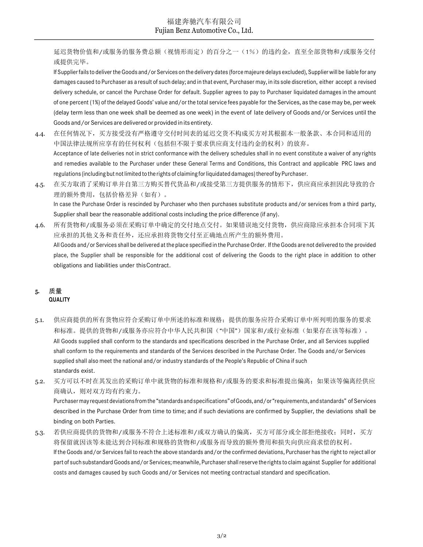延迟货物价值和/或服务的服务费总额(视情形而定)的百分之一(1%)的违约金,直至全部货物和/或服务交付 或提供完毕。

If Supplier fails to deliver the Goods and/or Services on the delivery dates (force majeure delays excluded), Supplier will be liable for any damages caused to Purchaser as a result of such delay; and in that event, Purchaser may, in its sole discretion, either accept a revised delivery schedule, or cancel the Purchase Order for default. Supplier agrees to pay to Purchaser liquidated damages in the amount of one percent (1%) of the delayed Goods' value and/or the total service fees payable for the Services, as the case may be, per week (delay term less than one week shall be deemed as one week) in the event of late delivery of Goods and/or Services until the Goods and/or Services are delivered or provided in its entirety.

- 4.4. 在任何情况下,买方接受没有严格遵守交付时间表的延迟交货不构成买方对其根据本一般条款、本合同和适用的 中国法律法规所应享有的任何权利(包括但不限于要求供应商支付违约金的权利)的放弃。 Acceptance of late deliveries not in strict conformance with the delivery schedules shall in no event constitute a waiver of any rights and remedies available to the Purchaser under these General Terms and Conditions, this Contract and applicable PRC laws and regulations (including but not limited to the rights of claiming for liquidated damages) thereof by Purchaser.
- 4.5. 在买方取消了采购订单并自第三方购买替代货品和/或接受第三方提供服务的情形下,供应商应承担因此导致的合 理的额外费用,包括价格差异(如有)。 In case the Purchase Order is rescinded by Purchaser who then purchases substitute products and/or services from a third party, Supplier shall bear the reasonable additional costs including the price difference (if any).
- 4.6. 所有货物和/或服务必须在采购订单中确定的交付地点交付。如果错误地交付货物,供应商除应承担本合同项下其 应承担的其他义务和责任外,还应承担将货物交付至正确地点所产生的额外费用。 All Goods and/or Services shall be delivered at the place specified in the Purchase Order. If the Goods are not delivered to the provided place, the Supplier shall be responsible for the additional cost of delivering the Goods to the right place in addition to other obligations and liabilities under this Contract.

## 5. 质量 **QUALITY**

- 5.1. 供应商提供的所有货物应符合采购订单中所述的标准和规格;提供的服务应符合采购订单中所列明的服务的要求 和标准。提供的货物和/或服务亦应符合中华人民共和国("中国")国家和/或行业标准(如果存在该等标准)。 All Goods supplied shall conform to the standards and specifications described in the Purchase Order, and all Services supplied shall conform to the requirements and standards of the Services described in the Purchase Order. The Goods and/or Services supplied shall also meet the national and/or industry standards of the People's Republic of China if such standards exist.
- 5.2. 买方可以不时在其发出的采购订单中就货物的标准和规格和/或服务的要求和标准提出偏离;如果该等偏离经供应 商确认, 则对双方均有约束力。

Purchaser may request deviations from the "standards and specifications" of Goods, and/or "requirements, and standards" of Services described in the Purchase Order from time to time; and if such deviations are confirmed by Supplier, the deviations shall be binding on both Parties.

5.3. 若供应商提供的货物和/或服务不符合上述标准和/或双方确认的偏离,买方可部分或全部拒绝接收;同时,买方 将保留就因该等未能达到合同标准和规格的货物和/或服务而导致的额外费用和损失向供应商求偿的权利。 If the Goods and/or Services fail to reach the above standards and/or the confirmed deviations, Purchaser has the right to reject all or part of such substandard Goods and/or Services; meanwhile, Purchaser shall reserve the rights to claim against Supplier for additional costs and damages caused by such Goods and/or Services not meeting contractual standard and specification.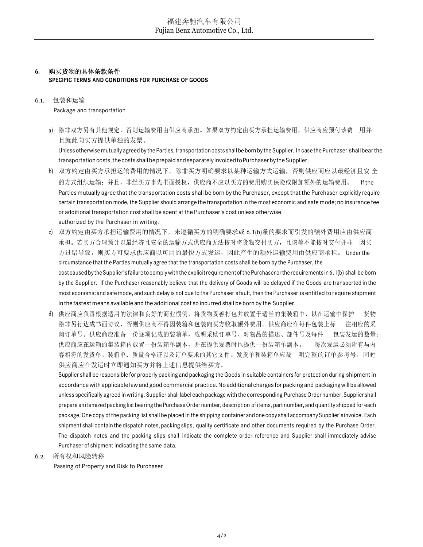## 6. 购买货物的具体条款条件 SPECIFIC TERMS AND CONDITIONS FOR PURCHASE OF GOODS

6.1. 包装和运输

Package and transportation

a) 除非双方另有其他规定,否则运输费用由供应商承担。如果双方约定由买方承担运输费用,供应商应预付该费 用并 且就此向买方提供单独的发票。

Unless otherwise mutually agreed by the Parties, transportation costs shall be born by the Supplier. In case the Purchaser shall bear the transportation costs, the costs shall be prepaid and separately invoiced to Purchaser by the Supplier.

- b) 双方约定由买方承担运输费用的情况下,除非买方明确要求以某种运输方式运输,否则供应商应以最经济且安 全 的方式组织运输;并且,非经买方事先书面授权,供应商不应以买方的费用购买保险或附加额外的运输费用。 If the Parties mutually agree that the transportation costs shall be born by the Purchaser, except that the Purchaser explicitly require certain transportation mode, the Supplier should arrange the transportation in the most economic and safe mode; no insurance fee or additional transportation cost shall be spent at the Purchaser's cost unless otherwise authorized by the Purchaser in writing.
- c) 双方约定由买方承担运输费用的情况下,未遵循买方的明确要求或 6.1(b)条的要求而引发的额外费用应由供应商 承担。若买方合理预计以最经济且安全的运输方式供应商无法按时将货物交付买方,且该等不能按时交付并非 因买 方过错导致,则买方可要求供应商以可用的最快方式发运,因此产生的额外运输费用由供应商承担。 Under the circumstance that the Parties mutually agree that the transportation costs shall be born by the Purchaser, the cost caused by the Supplier's failure to comply with the explicit requirement of the Purchaser or the requirements in 6.1(b) shall be born by the Supplier. If the Purchaser reasonably believe that the delivery of Goods will be delayed if the Goods are transported in the most economic and safe mode, and such delay is not due to the Purchaser's fault, then the Purchaser is entitled to require shipment in the fastest means available and the additional cost so incurred shall be born by the Supplier.
- d) 供应商应负责根据适用的法律和良好的商业惯例,将货物妥善打包并放置于适当的集装箱中,以在运输中保护 货物。 除非另行达成书面协议,否则供应商不得因装箱和包装向买方收取额外费用。供应商应在每件包装上标 注相应的采 购订单号。供应商应准备一份逐项记载的装箱单,载明采购订单号、对物品的描述、部件号及每件 包装发运的数量; 供应商应在运输的集装箱内放置一份装箱单副本,并在提供发票时也提供一份装箱单副本。 每次发运必须附有与内 容相符的发货单、装箱单、质量合格证以及订单要求的其它文件。发货单和装箱单应裁 明完整的订单参考号,同时 供应商应在发运时立即通知买方并将上述信息提供给买方。

Supplier shall be responsible for properly packing and packaging the Goods in suitable containers for protection during shipment in accordance with applicable law and good commercial practice. No additional charges for packing and packaging will be allowed unless specifically agreed in writing. Supplier shall label each package with the corresponding Purchase Order number. Supplier shall prepare an itemized packing list bearing the Purchase Order number, description of items, part number, and quantity shipped for each package. One copy of the packing list shall be placed in the shipping container and one copy shall accompany Supplier's invoice. Each shipment shall contain the dispatch notes, packing slips, quality certificate and other documents required by the Purchase Order. The dispatch notes and the packing slips shall indicate the complete order reference and Supplier shall immediately advise Purchaser of shipment indicating the same data.

6.2. 所有权和风险转移

Passing of Property and Risk to Purchaser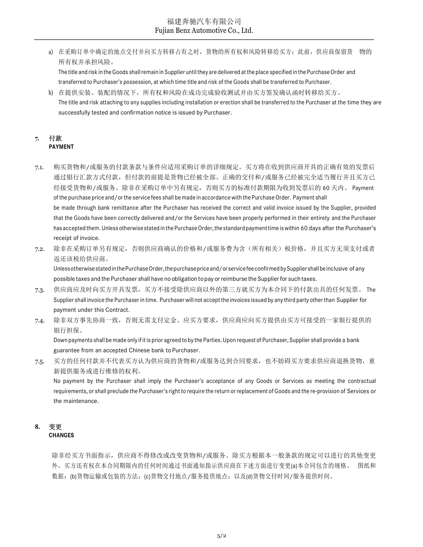a) 在采购订单中确定的地点交付并向买方转移占有之时, 货物的所有权和风险转移给买方; 此前, 供应商保留货 物的 所有权并承担风险。

The title and risk in the Goods shall remain in Supplier until they are delivered at the place specified in the Purchase Order and transferred to Purchaser's possession, at which time title and risk of the Goods shall be transferred to Purchaser.

b) 在提供安装、装配的情况下,所有权和风险在成功完成验收测试并由买方签发确认函时转移给买方。 The title and risk attaching to any supplies including installation or erection shall be transferred to the Purchaser at the time they are successfully tested and confirmation notice is issued by Purchaser.

#### 7. 付款 PAYMENT

- 7.1. 购买货物和/或服务的付款条款与条件应适用采购订单的详细规定。买方将在收到供应商开具的正确有效的发票后 通过银行汇款方式付款,但付款的前提是货物已经被全部、正确的交付和/或服务已经被完全适当履行并且买方已 经接受货物和/或服务。除非在采购订单中另有规定,否则买方的标准付款期限为收到发票后的 60 天内。 Payment of the purchase price and/or the service fees shall be made in accordance with the Purchase Order. Payment shall be made through bank remittance after the Purchaser has received the correct and valid invoice issued by the Supplier, provided that the Goods have been correctly delivered and/or the Services have been properly performed in their entirety and the Purchaser has accepted them. Unless otherwise stated in the Purchase Order, the standard payment time is within 60 days after the Purchaser's receipt of invoice.
- 7.2. 除非在采购订单另有规定,否则供应商确认的价格和/或服务费为含(所有相关)税价格,并且买方无须支付或者 返还该税给供应商。

Unless otherwise stated in the Purchase Order, the purchase price and/or service fee confirmed by Supplier shall be inclusive of any possible taxes and the Purchaser shall have no obligation to pay or reimburse the Supplier for such taxes.

- 7.3. 供应商应及时向买方开具发票,买方不接受除供应商以外的第三方就买方为本合同下的付款出具的任何发票。 The Supplier shall invoice the Purchaser in time. Purchaser will not accept the invoices issued by any third party other than Supplier for payment under this Contract.
- 7.4. 除非双方事先协商一致,否则无需支付定金。应买方要求,供应商应向买方提供由买方可接受的一家银行提供的 银行担保。

Down payments shall be made only if it is prior agreed to by the Parties. Upon request of Purchaser, Supplier shall provide a bank guarantee from an accepted Chinese bank to Purchaser.

7.5. 买方的任何付款并不代表买方认为供应商的货物和/或服务达到合同要求,也不妨碍买方要求供应商退换货物,重 新提供服务或进行维修的权利。

No payment by the Purchaser shall imply the Purchaser's acceptance of any Goods or Services as meeting the contractual requirements, or shall preclude the Purchaser's right to require the return or replacement of Goods and the re-provision of Services or the maintenance.

## 8. 变更 **CHANGES**

除非经买方书面指示,供应商不得修改或改变货物和/或服务。除买方根据本一般条款的规定可以进行的其他变更 外,买方还有权在本合同期限内的任何时间通过书面通知指示供应商在下述方面进行变更(a)本合同包含的规格、 图纸和 数据; (b)货物运输或包装的方法; (c)货物交付地点/服务提供地点; 以及(d)货物交付时间/服务提供时间。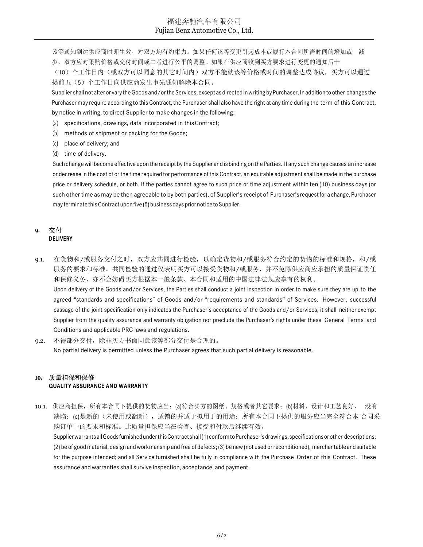该等通知到达供应商时即生效,对双方均有约束力。如果任何该等变更引起成本或履行本合同所需时间的增加或 减 少,双方应对采购价格或交付时间或二者进行公平的调整。如果在供应商收到买方要求进行变更的通知后十

(10)个工作日内(或双方可以同意的其它时间内)双方不能就该等价格或时间的调整达成协议,买方可以通过 提前五(5)个工作日向供应商发出事先通知解除本合同。

Supplier shall not alter or vary the Goods and/or the Services, except as directed in writing by Purchaser. In addition to other changes the Purchaser may require according to this Contract, the Purchaser shall also have the right at any time during the term of this Contract, by notice in writing, to direct Supplier to make changes in the following:

- (a) specifications, drawings, data incorporated in this Contract;
- (b) methods of shipment or packing for the Goods;
- (c) place of delivery; and
- (d) time of delivery.

Such change will become effective upon the receipt by the Supplier and is binding on the Parties. If any such change causes an increase or decrease in the cost of or the time required for performance of this Contract, an equitable adjustment shall be made in the purchase price or delivery schedule, or both. If the parties cannot agree to such price or time adjustment within ten (10) business days (or such other time as may be then agreeable to by both parties), of Supplier's receipt of Purchaser's request for a change, Purchaser may terminate this Contract upon five (5) business days prior notice to Supplier.

#### 9. 交付 DELIVERY

- 9.1. 在货物和/或服务交付之时, 双方应共同进行检验, 以确定货物和/或服务符合约定的货物的标准和规格, 和/或 服务的要求和标准。共同检验的通过仅表明买方可以接受货物和/或服务,并不免除供应商应承担的质量保证责任 和保修义务,亦不会妨碍买方根据本一般条款、本合同和适用的中国法律法规应享有的权利。 Upon delivery of the Goods and/or Services, the Parties shall conduct a joint inspection in order to make sure they are up to the agreed "standards and specifications" of Goods and/or "requirements and standards" of Services. However, successful passage of the joint specification only indicates the Purchaser's acceptance of the Goods and/or Services, it shall neither exempt Supplier from the quality assurance and warranty obligation nor preclude the Purchaser's rights under these General Terms and Conditions and applicable PRC laws and regulations.
- 9.2. 不得部分交付,除非买方书面同意该等部分交付是合理的。 No partial delivery is permitted unless the Purchaser agrees that such partial delivery is reasonable.

## 10. 质量担保和保修

#### QUALITY ASSURANCE AND WARRANTY

10.1. 供应商担保,所有本合同下提供的货物应当: (a)符合买方的图纸、规格或者其它要求;(b)材料、设计和工艺良好, 没有 缺陷; (c)是新的(未使用或翻新),适销的并适于拟用于的用途; 所有本合同下提供的服务应当完全符合本 合同采 购订单中的要求和标准。此质量担保应当在检查、接受和付款后继续有效。

Supplier warrants all Goods furnished under this Contract shall (1) conform to Purchaser's drawings, specifications or other descriptions; (2) be of good material, design and workmanship and free of defects; (3) be new (not used or reconditioned), merchantable and suitable for the purpose intended; and all Service furnished shall be fully in compliance with the Purchase Order of this Contract. These assurance and warranties shall survive inspection, acceptance, and payment.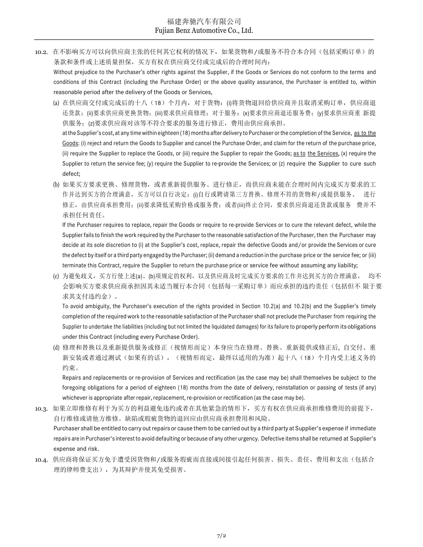10.2. 在不影响买方可以向供应商主张的任何其它权利的情况下,如果货物和/或服务不符合本合同(包括采购订单)的 条款和条件或上述质量担保,买方有权在供应商交付或完成后的合理时间内:

Without prejudice to the Purchaser's other rights against the Supplier, if the Goods or Services do not conform to the terms and conditions of this Contract (including the Purchase Order) or the above quality assurance, the Purchaser is entitled to, within reasonable period after the delivery of the Goods or Services,

- (a) 在供应商交付或完成后的十八(18)个月内,对于货物:(i)将货物退回给供应商并且取消采购订单,供应商退 还货款;(ii)要求供应商更换货物;(iii)要求供应商修理;对于服务:(x)要求供应商退还服务费;(y)要求供应商重 新提 供服务;(z)要求供应商对该等不符合要求的服务进行修正,费用由供应商承担。 at the Supplier's cost, at any time within eighteen (18) months after delivery to Purchaser or the completion of the Service, as to the Goods: (i) reject and return the Goods to Supplier and cancel the Purchase Order, and claim for the return of the purchase price, (ii) require the Supplier to replace the Goods, or (iii) require the Supplier to repair the Goods; as to the Services, (x) require the Supplier to return the service fee; (y) require the Supplier to re-provide the Services; or (z) require the Supplier to cure such
- (b) 如果买方要求更换、修理货物,或者重新提供服务、进行修正,而供应商未能在合理时间内完成买方要求的工 作并达到买方的合理满意,买方可以自行决定:(i)自行或聘请第三方替换、修理不符的货物和/或提供服务、 进行 修正,由供应商承担费用;(ii)要求降低采购价格或服务费;或者(iii)终止合同,要求供应商退还货款或服务 费并不 承担任何责任。

defect;

If the Purchaser requires to replace, repair the Goods or require to re-provide Services or to cure the relevant defect, while the Supplier fails to finish the work required by the Purchaser to the reasonable satisfaction of the Purchaser, then the Purchaser may decide at its sole discretion to (i) at the Supplier's cost, replace, repair the defective Goods and/or provide the Services or cure the defect by itself or a third party engaged by the Purchaser; (ii) demand a reduction in the purchase price or the service fee; or (iii) terminate this Contract, require the Supplier to return the purchase price or service fee without assuming any liability;

(c) 为避免歧义,买方行使上述(a)、(b)项规定的权利,以及供应商及时完成买方要求的工作并达到买方的合理满意, 均不 会影响买方要求供应商承担因其未适当履行本合同(包括每一采购订单)而应承担的违约责任(包括但不 限于要 求其支付违约金)。

To avoid ambiguity, the Purchaser's execution of the rights provided in Section 10.2(a) and 10.2(b) and the Supplier's timely completion of the required work to the reasonable satisfaction of the Purchaser shall not preclude the Purchaser from requiring the Supplier to undertake the liabilities (including but not limited the liquidated damages) for its failure to properly perform its obligations under this Contract (including every Purchase Order).

(d) 修理和替换以及重新提供服务或修正(视情形而定)本身应当在修理、替换、重新提供或修正后, 自交付、重 新安装或者通过测试(如果有的话),(视情形而定,最终以适用的为准)起十八(18)个月内受上述义务的 约束。

Repairs and replacements or re-provision of Services and rectification (as the case may be) shall themselves be subject to the foregoing obligations for a period of eighteen (18) months from the date of delivery, reinstallation or passing of tests (if any) whichever is appropriate after repair, replacement, re-provision or rectification (as the case may be).

- 10.3. 如果立即维修有利于为买方的利益避免违约或者在其他紧急的情形下,买方有权在供应商承担维修费用的前提下, 自行维修或请他方维修。缺陷或瑕疵货物的退回应由供应商承担费用和风险。 Purchaser shall be entitled to carry out repairs or cause them to be carried out by a third party at Supplier's expense if immediate repairs are in Purchaser's interest to avoid defaulting or because of any other urgency. Defective items shall be returned at Supplier's expense and risk.
- 10.4. 供应商将保证买方免于遭受因货物和/或服务瑕疵而直接或间接引起任何损害、损失、责任、费用和支出(包括合 理的律师费支出),为其辩护并使其免受损害。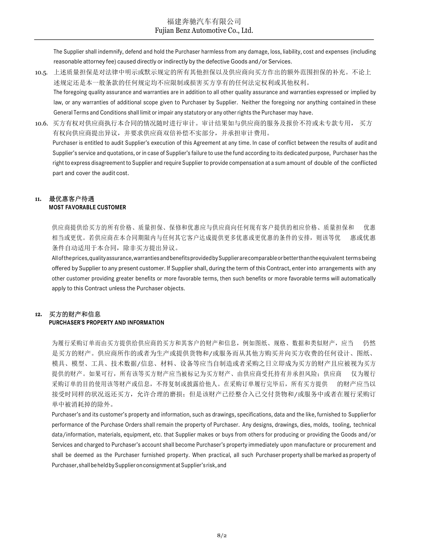The Supplier shall indemnify, defend and hold the Purchaser harmless from any damage, loss, liability, cost and expenses (including reasonable attorney fee) caused directly or indirectly by the defective Goods and/or Services.

- 10.5. 上述质量担保是对法律中明示或默示规定的所有其他担保以及供应商向买方作出的额外范围担保的补充。不论上 述规定还是本一般条款的任何规定均不应限制或损害买方享有的任何法定权利或其他权利。 The foregoing quality assurance and warranties are in addition to all other quality assurance and warranties expressed or implied by law, or any warranties of additional scope given to Purchaser by Supplier. Neither the foregoing nor anything contained in these General Terms and Conditions shall limit or impair any statutory or any other rights the Purchaser may have.
- 10.6. 买方有权对供应商执行本合同的情况随时进行审计。审计结果如与供应商的服务及报价不符或未专款专用, 买方 有权向供应商提出异议,并要求供应商双倍补偿不实部分,并承担审计费用。 Purchaser is entitled to audit Supplier's execution of this Agreement at any time. In case of conflict between the results of audit and Supplier's service and quotations, or in case of Supplier's failure to use the fund according to its dedicated purpose, Purchaser has the right to express disagreement to Supplier and require Supplier to provide compensation at a sum amount of double of the conflicted part and cover the audit cost.

#### 11. 最优惠客户待遇 MOST FAVORABLE CUSTOMER

供应商提供给买方的所有价格、质量担保、保修和优惠应与供应商向任何现有客户提供的相应价格、质量担保和 优惠 相当或更优。若供应商在本合同期限内与任何其它客户达成提供更多优惠或更优惠的条件的安排,则该等优 惠或优惠 条件自动适用于本合同,除非买方提出异议。

All of the prices, quality assurance, warranties and benefits provided by Supplier are comparable or better than the equivalent terms being offered by Supplier to any present customer. If Supplier shall, during the term of this Contract, enter into arrangements with any other customer providing greater benefits or more favorable terms, then such benefits or more favorable terms will automatically apply to this Contract unless the Purchaser objects.

## 12. 买方的财产和信息

#### PURCHASER'S PROPERTY AND INFORMATION

为履行采购订单而由买方提供给供应商的买方和其客户的财产和信息,例如图纸、规格、数据和类似财产,应当 仍然 是买方的财产。供应商所作的或者为生产或提供货物和/或服务而从其他方购买并向买方收费的任何设计、图纸、 模具、模型、工具、技术数据/信息、材料、设备等应当自制造或者采购之日立即成为买方的财产且应被视为买方 提供的财产。如果可行,所有该等买方财产应当被标记为买方财产、由供应商受托持有并承担风险;供应商 仅为履行 采购订单的目的使用该等财产或信息,不得复制或披露给他人。在采购订单履行完毕后,所有买方提供 的财产应当以 接受时同样的状况返还买方,允许合理的磨损;但是该财产已经整合入已交付货物和/或服务中或者在履行采购订 单中被消耗掉的除外。

Purchaser's and its customer's property and information, such as drawings, specifications, data and the like, furnished to Supplier for performance of the Purchase Orders shall remain the property of Purchaser. Any designs, drawings, dies, molds, tooling, technical data/information, materials, equipment, etc. that Supplier makes or buys from others for producing or providing the Goods and/or Services and charged to Purchaser's account shall become Purchaser's property immediately upon manufacture or procurement and shall be deemed as the Purchaser furnished property. When practical, all such Purchaser property shall be marked as property of Purchaser, shall be held by Supplier on consignment at Supplier's risk, and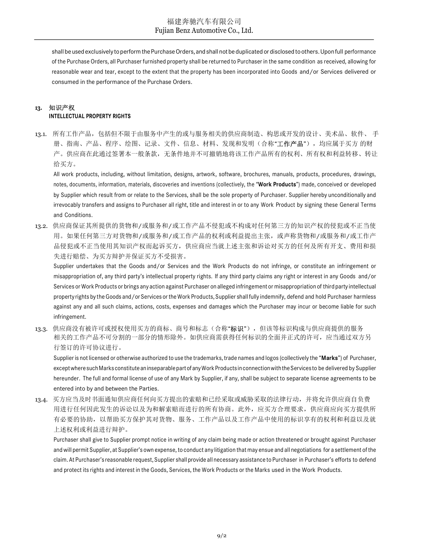shall be used exclusively to perform the Purchase Orders, and shall not be duplicated or disclosed to others. Upon full performance of the Purchase Orders, all Purchaser furnished property shall be returned to Purchaser in the same condition as received, allowing for reasonable wear and tear, except to the extent that the property has been incorporated into Goods and/or Services delivered or consumed in the performance of the Purchase Orders.

## 13. 知识产权 INTELLECTUAL PROPERTY RIGHTS

13.1. 所有工作产品,包括但不限于由服务中产生的或与服务相关的供应商制造、构思或开发的设计、美术品、软件、 手 册、指南、产品、程序、绘图、记录、文件、信息、材料、发现和发明(合称"工**作产品**"), 均应属于买方 的财 产。供应商在此通过签署本一般条款,无条件地并不可撤销地将该工作产品所有的权利、所有权和利益转移、转让 给买方。

All work products, including, without limitation, designs, artwork, software, brochures, manuals, products, procedures, drawings, notes, documents, information, materials, discoveries and inventions (collectively, the "Work Products") made, conceived or developed by Supplier which result from or relate to the Services, shall be the sole property of Purchaser. Supplier hereby unconditionally and irrevocably transfers and assigns to Purchaser all right, title and interest in or to any Work Product by signing these General Terms and Conditions.

13.2. 供应商保证其所提供的货物和/或服务和/或工作产品不侵犯或不构成对任何第三方的知识产权的侵犯或不正当使 用。如果任何第三方对货物和/或服务和/或工作产品的权利或利益提出主张,或声称货物和/或服务和/或工作产 品侵犯或不正当使用其知识产权而起诉买方,供应商应当就上述主张和诉讼对买方的任何及所有开支、费用和损 失进行赔偿、为买方辩护并保证买方不受损害。

Supplier undertakes that the Goods and/or Services and the Work Products do not infringe, or constitute an infringement or misappropriation of, any third party's intellectual property rights. If any third party claims any right or interest in any Goods and/or Services or Work Products or brings any action against Purchaser on alleged infringement or misappropriation of third party intellectual property rights by the Goods and/or Services or the Work Products, Supplier shall fully indemnify, defend and hold Purchaser harmless against any and all such claims, actions, costs, expenses and damages which the Purchaser may incur or become liable for such infringement.

13.3. 供应商没有被许可或授权使用买方的商标、商号和标志(合称"**标识**"),但该等标识构成与供应商提供的服务 相关的工作产品不可分割的一部分的情形除外。如供应商需获得任何标识的全面并正式的许可,应当通过双方另 行签订的许可协议进行。

Supplier is not licensed or otherwise authorized to use the trademarks, trade names and logos (collectively the "Marks") of Purchaser, except where such Marks constitute an inseparable part of any Work Products in connection with the Services to be delivered by Supplier hereunder. The full and formal license of use of any Mark by Supplier, if any, shall be subject to separate license agreements to be entered into by and between the Parties.

13.4. 买方应当及时书面通知供应商任何向买方提出的索赔和已经采取或威胁采取的法律行动,并将允许供应商自负费 用进行任何因此发生的诉讼以及为和解索赔而进行的所有协商。此外,应买方合理要求,供应商应向买方提供所 有必要的协助,以帮助买方保护其对货物、服务、工作产品以及工作产品中使用的标识享有的权利和利益以及就 上述权利或利益进行辩护。

Purchaser shall give to Supplier prompt notice in writing of any claim being made or action threatened or brought against Purchaser and will permit Supplier, at Supplier's own expense, to conduct any litigation that may ensue and all negotiations for a settlement of the claim. At Purchaser's reasonable request, Supplier shall provide all necessary assistance to Purchaser in Purchaser's efforts to defend and protect its rights and interest in the Goods, Services, the Work Products or the Marks used in the Work Products.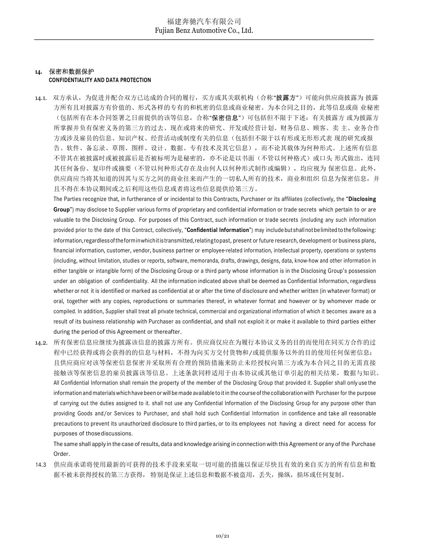## 14. 保密和数据保护 CONFIDENTIALITY AND DATA PROTECTION

14.1. 双方承认,为促进并配合双方已达成的合同的履行,买方或其关联机构(合称"**披露方"**)可能向供应商披露为 披露 方所有且对披露方有价值的、形式各样的专有的和机密的信息或商业秘密。为本合同之目的,此等信息或商 业秘密 (包括所有在本合同签署之日前提供的该等信息,合称"保密信息")可包括但不限于下述: 有关披露方 或为披露方 所掌握并负有保密义务的第三方的过去、现在或将来的研究、开发或经营计划、财务信息、顾客、卖 主、业务合作 方或涉及雇员的信息、知识产权、经营活动或制度有关的信息(包括但不限于以有形或无形形式表 现的研究或报 告、软件、备忘录、草图、图样、设计、数据、专有技术及其它信息),而不论其载体为何种形式。上述所有信息 不管其在被披露时或被披露后是否被标明为是秘密的,亦不论是以书面(不管以何种格式)或口头 形式做出,连同 其任何备份、复印件或摘要(不管以何种形式存在及由何人以何种形式制作或编辑),均应视为 保密信息。此外, 供应商应当将其知道的因其与买方之间的商业往来而产生的一切私人所有的技术,商业和组织 信息为保密信息,并 且不得在本协议期间或之后利用这些信息或者将这些信息提供给第三方。

The Parties recognize that, in furtherance of or incidental to this Contracts, Purchaser or its affiliates (collectively, the "Disclosing Group") may disclose to Supplier various forms of proprietary and confidential information or trade secrets which pertain to or are valuable to the Disclosing Group. For purposes of this Contract, such information or trade secrets (including any such information provided prior to the date of this Contract, collectively, "Confidential Information") may include but shall not be limited to the following: information, regardless of the form in which it is transmitted, relating to past, present or future research, development or business plans, financial information, customer, vendor, business partner or employee-related information, intellectual property, operations or systems (including, without limitation, studies or reports, software, memoranda, drafts, drawings, designs, data, know-how and other information in either tangible or intangible form) of the Disclosing Group or a third party whose information is in the Disclosing Group's possession under an obligation of confidentiality. All the information indicated above shall be deemed as Confidential Information, regardless whether or not it is identified or marked as confidential at or after the time of disclosure and whether written (in whatever format) or oral, together with any copies, reproductions or summaries thereof, in whatever format and however or by whomever made or compiled. In addition, Supplier shall treat all private technical, commercial and organizational information of which it becomes aware as a result of its business relationship with Purchaser as confidential, and shall not exploit it or make it available to third parties either during the period of this Agreement or thereafter.

14.2. 所有保密信息应继续为披露该信息的披露方所有。供应商仅应在为履行本协议义务的目的而使用在同买方合作的过 程中已经获得或将会获得的的信息与材料,不得为向买方交付货物和/或提供服务以外的目的使用任何保密信息; 且供应商应对该等保密信息保密并采取所有合理的预防措施来防止未经授权向第三方或为本合同之目的无需直接 接触该等保密信息的雇员披露该等信息。上述条款同样适用于由本协议或其他订单引起的相关结果,数据与知识。 All Confidential Information shall remain the property of the member of the Disclosing Group that provided it. Supplier shall only use the information and materials which have been or will be made available to it in the course of the collaboration with Purchaser for the purpose of carrying out the duties assigned to it. shall not use any Confidential Information of the Disclosing Group for any purpose other than providing Goods and/or Services to Purchaser, and shall hold such Confidential Information in confidence and take all reasonable precautions to prevent its unauthorized disclosure to third parties, or to its employees not having a direct need for access for purposes of those discussions.

The same shall apply in the case of results, data and knowledge arising in connection with this Agreement or any of the Purchase Order.

14.3 供应商承诺将使用最新的可获得的技术手段来采取一切可能的措施以保证尽快且有效的来自买方的所有信息和数 据不被未获得授权的第三方获得, 特别是保证上述信息和数据不被盗用,丢失,操纵,损坏或任何复制。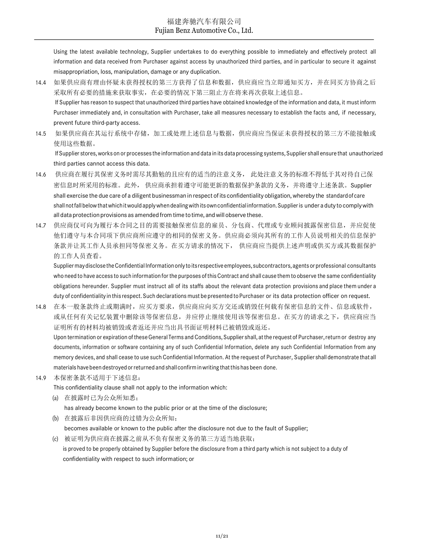Using the latest available technology, Supplier undertakes to do everything possible to immediately and effectively protect all information and data received from Purchaser against access by unauthorized third parties, and in particular to secure it against misappropriation, loss, manipulation, damage or any duplication.

- 14.4 如果供应商有理由怀疑未获得授权的第三方获得了信息和数据,供应商应当立即通知买方,并在同买方协商之后 采取所有必要的措施来获取事实,在必要的情况下第三阻止方在将来再次获取上述信息。 If Supplier has reason to suspect that unauthorized third parties have obtained knowledge of the information and data, it must inform Purchaser immediately and, in consultation with Purchaser, take all measures necessary to establish the facts and, if necessary, prevent future third-party access.
- 14.5 如果供应商在其运行系统中存储,加工或处理上述信息与数据,供应商应当保证未获得授权的第三方不能接触或 使用这些数据。

If Supplier stores, works on or processes the information and data in its data processing systems, Supplier shall ensure that unauthorized third parties cannot access this data.

- 14.6 供应商在履行其保密义务时需尽其勤勉的且应有的适当的注意义务, 此处注意义务的标准不得低于其对待自己保 密信息时所采用的标准。此外, 供应商承担着遵守可能更新的数据保护条款的义务,并将遵守上述条款。Supplier shall exercise the due care of a diligent businessman in respect of its confidentiality obligation, whereby the standard of care shall not fall below that which it would apply when dealing with its own confidential information. Supplier is under a duty to comply with all data protection provisions as amended from time to time, and will observe these.
- 14.7 供应商仅可向为履行本合同之目的需要接触保密信息的雇员、分包商、代理或专业顾问披露保密信息,并应促使 他们遵守与本合同项下供应商所应遵守的相同的保密义务。供应商必须向其所有的工作人员说明相关的信息保护 条款并让其工作人员承担同等保密义务。在买方请求的情况下, 供应商应当提供上述声明或供买方或其数据保护 的工作人员查看。

Supplier may disclose the Confidential Information only to its respective employees, subcontractors, agents or professional consultants who need to have access to such information for the purposes of this Contract and shall cause them to observe the same confidentiality obligations hereunder. Supplier must instruct all of its staffs about the relevant data protection provisions and place them under a duty of confidentiality in this respect. Such declarations must be presented to Purchaser or its data protection officer on request.

14.8 在本一般条款终止或期满时,应买方要求,供应商应向买方交还或销毁任何载有保密信息的文件、信息或软件, 或从任何有关记忆装置中删除该等保密信息,并应停止继续使用该等保密信息。在买方的请求之下,供应商应当 证明所有的材料均被销毁或者返还并应当出具书面证明材料已被销毁或返还。 Upon termination or expiration of these General Terms and Conditions, Supplier shall, at the request of Purchaser, return or destroy any

documents, information or software containing any of such Confidential Information, delete any such Confidential Information from any memory devices, and shall cease to use such Confidential Information. At the request of Purchaser, Supplier shall demonstrate that all materials have been destroyed or returned and shall confirm in writing that this has been done.

14.9 本保密条款不适用于下述信息:

This confidentiality clause shall not apply to the information which:

- (a) 在披露时已为公众所知悉;
	- has already become known to the public prior or at the time of the disclosure;
- (b) 在披露后非因供应商的过错为公众所知; becomes available or known to the public after the disclosure not due to the fault of Supplier;
- (c) 被证明为供应商在披露之前从不负有保密义务的第三方适当地获取; is proved to be properly obtained by Supplier before the disclosure from a third party which is not subject to a duty of confidentiality with respect to such information; or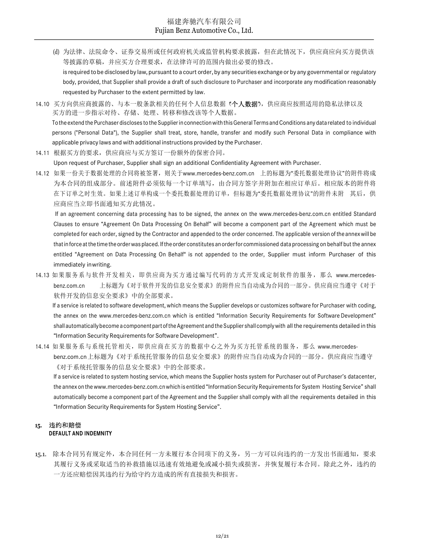- (d) 为法律、法院命令、证券交易所或任何政府机关或监管机构要求披露,但在此情况下,供应商应向买方提供该 等披露的草稿,并应买方合理要求,在法律许可的范围内做出必要的修改。 is required to be disclosed by law, pursuant to a court order, by any securities exchange or by any governmental or regulatory body, provided, that Supplier shall provide a draft of such disclosure to Purchaser and incorporate any modification reasonably requested by Purchaser to the extent permitted by law.
- 14.10 买方向供应商披露的、与本一般条款相关的任何个人信息数据 (个人数据),供应商应按照适用的隐私法律以及 买方的进一步指示对待、存储、处理、转移和修改该等个人数据。 To the extend the Purchaser discloses to the Supplier in connection with this General Terms and Conditions any data related to individual persons ("Personal Data"), the Supplier shall treat, store, handle, transfer and modify such Personal Data in compliance with applicable privacy laws and with additional instructions provided by the Purchaser.
- 14.11 根据买方的要求,供应商应与买方签订一份额外的保密合同。

Upon request of Purchaser, Supplier shall sign an additional Confidentiality Agreement with Purchaser.

14.12 如果一份关于数据处理的合同将被签署,则关于www.mercedes-benz.com.cn 上的标题为"委托数据处理协议"的附件将成 为本合同的组成部分。前述附件必须依每一个订单填写,由合同方签字并附加在相应订单后。相应版本的附件将 在下订单之时生效。如果上述订单构成一个委托数据处理的订单,但标题为"委托数据处理协议"的附件未附 其后,供 应商应当立即书面通知买方此情况。

If an agreement concerning data processing has to be signed, the annex on the www.mercedes-benz.com.cn entitled Standard Clauses to ensure "Agreement On Data Processing On Behalf" will become a component part of the Agreement which must be completed for each order, signed by the Contractor and appended to the order concerned. The applicable version of the annex will be that in force at the time the order was placed. If the order constitutes an order for commissioned data processing on behalf but the annex entitled "Agreement on Data Processing On Behalf" is not appended to the order, Supplier must inform Purchaser of this immediately in writing.

14.13 如果服务系与软件开发相关, 即供应商为买方通过编写代码的方式开发或定制软件的服务, 那么 www.mercedesbenz.com.cn 上标题为《对于软件开发的信息安全要求》的附件应当自动成为合同的一部分。供应商应当遵守《对于 软件开发的信息安全要求》中的全部要求。

If a service is related to software development, which means the Supplier develops or customizes software for Purchaser with coding, the annex on the www.mercedes-benz.com.cn which is entitled "Information Security Requirements for Software Development" shall automatically become a component part of the Agreement and the Supplier shall comply with all the requirements detailed in this "Information Security Requirements for Software Development".

14.14 如果服务系与系统托管相关,即供应商在买方的数据中心之外为买方托管系统的服务,那么 www.mercedesbenz.com.cn 上标题为《对于系统托管服务的信息安全要求》的附件应当自动成为合同的一部分。供应商应当遵守 《对于系统托管服务的信息安全要求》中的全部要求。

If a service is related to system hosting service, which means the Supplier hosts system for Purchaser out of Purchaser's datacenter, the annex on the www.mercedes-benz.com.cn which is entitled "Information Security Requirements for System Hosting Service" shall automatically become a component part of the Agreement and the Supplier shall comply with all the requirements detailed in this "Information Security Requirements for System Hosting Service".

#### 15. 违约和赔偿 DEFAULT AND INDEMNITY

15.1. 除本合同另有规定外,本合同任何一方未履行本合同项下的义务,另一方可以向违约的一方发出书面通知,要求 其履行义务或采取适当的补救措施以迅速有效地避免或减小损失或损害,并恢复履行本合同。除此之外,违约的 一方还应赔偿因其违约行为给守约方造成的所有直接损失和损害。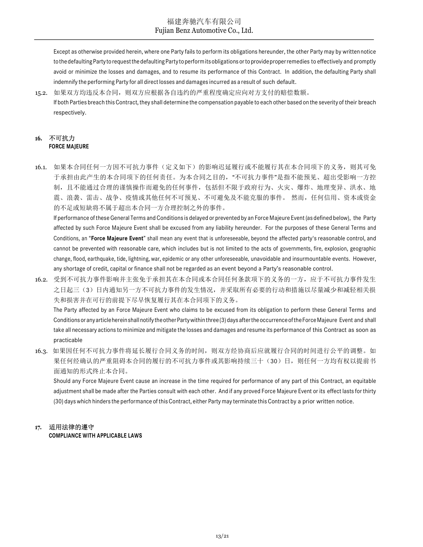Except as otherwise provided herein, where one Party fails to perform its obligations hereunder, the other Party may by written notice to the defaulting Party to request the defaulting Party to perform its obligations or to provide proper remedies to effectively and promptly avoid or minimize the losses and damages, and to resume its performance of this Contract. In addition, the defaulting Party shall indemnify the performing Party for all direct losses and damages incurred as a result of such default.

15.2. 如果双方均违反本合同,则双方应根据各自违约的严重程度确定应向对方支付的赔偿数额。 If both Parties breach this Contract, they shall determine the compensation payable to each other based on the severity of their breach respectively.

#### 16. 不可抗力 FORCE MAJEURE

16.1. 如果本合同任何一方因不可抗力事件(定义如下)的影响迟延履行或不能履行其在本合同项下的义务,则其可免 于承担由此产生的本合同项下的任何责任。为本合同之目的, "不可抗力事件"是指不能预见、超出受影响一方控 制,且不能通过合理的谨慎操作而避免的任何事件,包括但不限于政府行为、火灾、爆炸、地理变异、洪水、地 震、浪袭、雷击、战争、疫情或其他任何不可预见、不可避免及不能克服的事件。 然而,任何信用、资本或资金 的不足或短缺将不属于超出本合同一方合理控制之外的事件。

If performance of these General Terms and Conditions is delayed or prevented by an Force Majeure Event (as defined below), the Party affected by such Force Majeure Event shall be excused from any liability hereunder. For the purposes of these General Terms and Conditions, an "Force Majeure Event" shall mean any event that is unforeseeable, beyond the affected party's reasonable control, and cannot be prevented with reasonable care, which includes but is not limited to the acts of governments, fire, explosion, geographic change, flood, earthquake, tide, lightning, war, epidemic or any other unforeseeable, unavoidable and insurmountable events. However, any shortage of credit, capital or finance shall not be regarded as an event beyond a Party's reasonable control.

16.2. 受到不可抗力事件影响并主张免于承担其在本合同或本合同任何条款项下的义务的一方,应于不可抗力事件发生 之日起三(3)日内通知另一方不可抗力事件的发生情况,并采取所有必要的行动和措施以尽量减少和减轻相关损 失和损害并在可行的前提下尽早恢复履行其在本合同项下的义务。

The Party affected by an Force Majeure Event who claims to be excused from its obligation to perform these General Terms and Conditions or any article herein shall notify the other Party within three (3) days after the occurrence of the Force Majeure Event and shall take all necessary actions to minimize and mitigate the losses and damages and resume its performance of this Contract as soon as practicable

16.3. 如果因任何不可抗力事件将延长履行合同义务的时间,则双方经协商后应就履行合同的时间进行公平的调整。如 果任何经确认的严重阻碍本合同的履行的不可抗力事件或其影响持续三十(30)日,则任何一方均有权以提前书 面通知的形式终止本合同。

Should any Force Majeure Event cause an increase in the time required for performance of any part of this Contract, an equitable adjustment shall be made after the Parties consult with each other. And if any proved Force Majeure Event or its effect lasts for thirty (30) days which hinders the performance of this Contract, either Party may terminate this Contract by a prior written notice.

## 17. 适用法律的遵守

COMPLIANCE WITH APPLICABLE LAWS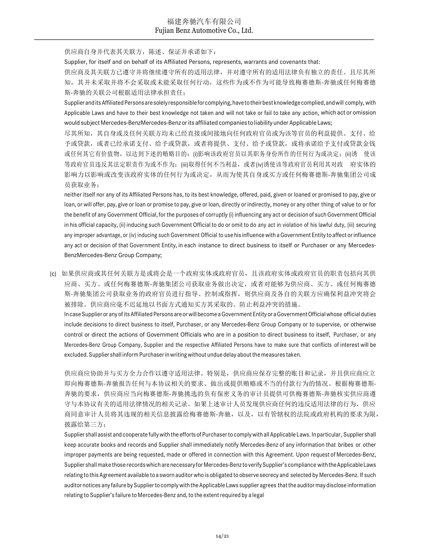供应商自身并代表其关联方,陈述、保证并承诺如下:

Supplier, for itself and on behalf of its Affiliated Persons, represents, warrants and covenants that:

供应商及其关联方已遵守并将继续遵守所有的适用法律,并对遵守所有的适用法律负有独立的责任。且尽其所 知,其并未采取并将不会采取或未能采取任何行动,这些作为或不作为可能导致梅赛德斯-奔驰或任何梅赛德 斯-奔驰的关联公司根据适用法律承担责任;

Supplier and its Affiliated Persons are solely responsible for complying, have to their best knowledge complied, and will comply, with Applicable Laws and have to their best knowledge not taken and will not take or fail to take any action, which act or omission would subject Mercedes-BenzMercedes-Benz or its affiliated companies to liability under Applicable Laws;

尽其所知,其自身或及任何关联方均未已经直接或间接地向任何政府官员或为该等官员的利益提供、支付、给 予或贷款,或者已经承诺支付、给予或贷款,或者将提供、支付、给予或贷款,或将承诺给予支付或贷款金钱 或任何其它有价值物, 以达到下述的贿赂目的: (i)影响该政府官员以其职务身份所作的任何行为或决定; (ii)诱 使该 等政府官员违反其法定职责作为或不作为;(iii)取得任何不当利益,或者(iv)诱使该等政府官员利用其对政 府实体的 影响力以影响或改变该政府实体的任何行为或决定,从而为使其自身或买方或任何梅赛德斯-奔驰集团公司成 员获取业务;

neither itself nor any of its Affiliated Persons has, to its best knowledge, offered, paid, given or loaned or promised to pay, give or loan, or will offer, pay, give or loan or promise to pay, give or loan, directly or indirectly, money or any other thing of value to or for the benefit of any Government Official, for the purposes of corruptly (i) influencing any act or decision of such Government Official in his official capacity, (ii) inducing such Government Official to do or omit to do any act in violation of his lawful duty, (iii) securing any improper advantage, or (iv) inducing such Government Official to use his influence with a Government Entity to affect or influence any act or decision of that Government Entity, in each instance to direct business to itself or Purchaser or any Mercedes-BenzMercedes-Benz Group Company;

(c) 如果供应商或其任何关联方是或将会是一个政府实体或政府官员,且该政府实体或政府官员的职责包括向其供 应商、买方、或任何梅赛德斯-奔驰集团公司获取业务做出决定,或者对能够为供应商、买方、或任何梅赛德 斯-奔驰集团公司获取业务的政府官员进行指导、控制或指挥,则供应商及各自的关联方应确保利益冲突将会 被排除。供应商应毫不迟延地以书面方式通知买方其采取的、防止利益冲突的措施。

In case Supplier or any of its Affiliated Persons are or will become a Government Entity or a Government Official whose official duties include decisions to direct business to itself, Purchaser, or any Mercedes-Benz Group Company or to supervise, or otherwise control or direct the actions of Government Officials who are in a position to direct business to itself, Purchaser, or any Mercedes-Benz Group Company, Supplier and the respective Affiliated Persons have to make sure that conflicts of interest will be excluded. Supplier shall inform Purchaser in writing without undue delay about the measures taken.

供应商应协助并与买方全力合作以遵守适用法律。特别是,供应商应保存完整的账目和记录,并且供应商应立 即向梅赛德斯-奔驰报告任何与本协议相关的要求、做出或提供贿赂或不当的付款行为的情况。根据梅赛德斯-奔驰的要求,供应商应当向梅赛德斯-奔驰挑选的负有保密义务的审计员提供可供梅赛德斯-奔驰核实供应商遵 守与本协议有关的适用法律情况的相关记录。如果上述审计人员发现供应商任何的违反适用法律的行为,供应 商同意审计人员将其违规的相关信息披露给梅赛德斯-奔驰,以及,以有管辖权的法院或政府机构的要求为限, 披露给第三方;

Supplier shall assist and cooperate fully with the efforts of Purchaser to comply with all Applicable Laws. In particular, Supplier shall keep accurate books and records and Supplier shall immediately notify Mercedes-Benz of any information that bribes or other improper payments are being requested, made or offered in connection with this Agreement. Upon request of Mercedes-Benz, Supplier shall make those records which are necessary for Mercedes-Benz to verify Supplier's compliance with the Applicable Laws relating to this Agreement available to a sworn auditor who is obligated to observe secrecy and selected by Mercedes-Benz. If such auditor notices any failure by Supplier to comply with the Applicable Laws supplier agrees that the auditor may disclose information relating to Supplier's failure to Mercedes-Benz and, to the extent required by a legal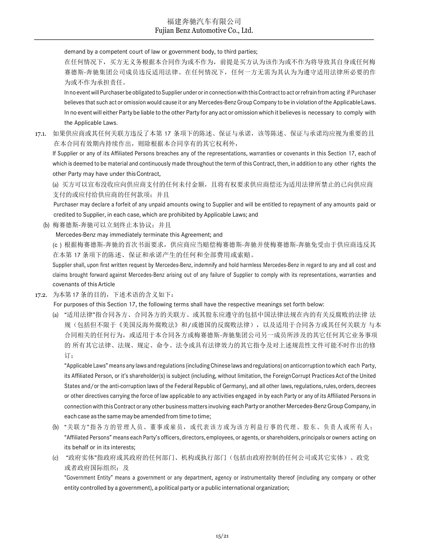demand by a competent court of law or government body, to third parties;

在任何情况下,买方无义务根据本合同作为或不作为,前提是买方认为该作为或不作为将导致其自身或任何梅 赛德斯-奔驰集团公司成员违反适用法律。在任何情况下,任何一方无需为其认为为遵守适用法律所必要的作 为或不作为承担责任。

In no event will Purchaser be obligated to Supplier under or in connection with this Contract to act or refrain from acting if Purchaser believes that such act or omission would cause it or any Mercedes-Benz Group Company to be in violation of the Applicable Laws. In no event will either Party be liable to the other Party for any act or omission which it believes is necessary to comply with the Applicable Laws.

17.1. 如果供应商或其任何关联方违反了本第 17 条项下的陈述、保证与承诺,该等陈述、保证与承诺均应视为重要的且 在本合同有效期内持续作出,则除根据本合同享有的其它权利外,

If Supplier or any of its Affiliated Persons breaches any of the representations, warranties or covenants in this Section 17, each of which is deemed to be material and continuously made throughout the term of this Contract, then, in addition to any other rights the other Party may have under this Contract,

(a) 买方可以宣布没收应向供应商支付的任何未付金额,且将有权要求供应商偿还为适用法律所禁止的已向供应商 支付的或应付给供应商的任何款项;并且

Purchaser may declare a forfeit of any unpaid amounts owing to Supplier and will be entitled to repayment of any amounts paid or credited to Supplier, in each case, which are prohibited by Applicable Laws; and

(b) 梅赛德斯-奔驰可以立刻终止本协议;并且

Mercedes-Benz may immediately terminate this Agreement; and

(c ) 根据梅赛德斯-奔驰的首次书面要求,供应商应当赔偿梅赛德斯-奔驰并使梅赛德斯-奔驰免受由于供应商违反其 在本第 17 条项下的陈述、保证和承诺产生的任何和全部费用或索赔。

Supplier shall, upon first written request by Mercedes-Benz, indemnify and hold harmless Mercedes-Benz in regard to any and all cost and claims brought forward against Mercedes-Benz arising out of any failure of Supplier to comply with its representations, warranties and covenants of this Article

17.2. 为本第 17 条的目的,下述术语的含义如下:

For purposes of this Section 17, the following terms shall have the respective meanings set forth below:

(a) "适用法律"指合同各方、合同各方的关联方、或其股东应遵守的包括中国法律法规在内的有关反腐败的法律 法 规(包括但不限于《美国反海外腐败法》和/或德国的反腐败法律),以及适用于合同各方或其任何关联方 与本 合同相关的任何行为,或适用于本合同各方或梅赛德斯-奔驰集团公司另一成员所涉及的其它任何其它业务事项 的 所有其它法律、法规、规定、命令、法令或具有法律效力的其它指令及对上述规范性文件可能不时作出的修 订;

"Applicable Laws" means any laws and regulations (including Chinese laws and regulations) on anticorruption to which each Party, its Affiliated Person, or it's shareholder(s) is subject (including, without limitation, the Foreign Corrupt Practices Act of the United States and/or the anti-corruption laws of the Federal Republic of Germany), and all other laws, regulations, rules, orders, decrees or other directives carrying the force of law applicable to any activities engaged in by each Party or any of its Affiliated Persons in connection with this Contract or any other business matters involving each Party or another Mercedes-Benz Group Company, in each case as the same may be amended from time to time;

- (b) "关联方"指各方的管理人员、董事或雇员,或代表该方或为该方利益行事的代理、股东、负责人或所有人; "Affiliated Persons" means each Party's officers, directors, employees, or agents, or shareholders, principals or owners acting on its behalf or in its interests;
- (c) "政府实体"指政府或其政府的任何部门、机构或执行部门(包括由政府控制的任何公司或其它实体)、政党 或者政府国际组织;及

"Government Entity" means a government or any department, agency or instrumentality thereof (including any company or other entity controlled by a government), a political party or a public international organization;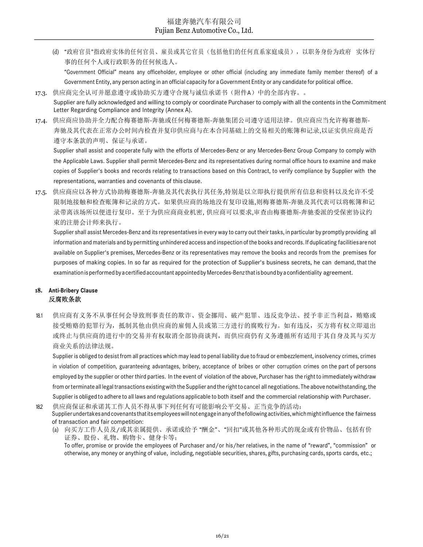(d) "政府官员"指政府实体的任何官员、雇员或其它官员(包括他们的任何直系家庭成员),以职务身份为政府 实体行 事的任何个人或行政职务的任何候选人。

"Government Official" means any officeholder, employee or other official (including any immediate family member thereof) of a Government Entity, any person acting in an official capacity for a Government Entity or any candidate for political office.

- 17.3. 供应商完全认可并愿意遵守或协助买方遵守合规与诚信承诺书(附件A)中的全部内容。。 Supplier are fully acknowledged and willing to comply or coordinate Purchaser to comply with all the contents in the Commitment Letter Regarding Compliance and Integrity (Annex A).
- 17.4. 供应商应协助并全力配合梅赛德斯-奔驰或任何梅赛德斯-奔驰集团公司遵守适用法律。供应商应当允许梅赛德斯-奔驰及其代表在正常办公时间内检查并复印供应商与在本合同基础上的交易相关的账簿和记录,以证实供应商是否 遵守本条款的声明、保证与承诺。

Supplier shall assist and cooperate fully with the efforts of Mercedes-Benz or any Mercedes-Benz Group Company to comply with the Applicable Laws. Supplier shall permit Mercedes-Benz and its representatives during normal office hours to examine and make copies of Supplier's books and records relating to transactions based on this Contract, to verify compliance by Supplier with the representations, warranties and covenants of this clause.

17.5. 供应商应以各种方式协助梅赛德斯-奔驰及其代表执行其任务,特别是以立即执行提供所有信息和资料以及允许不受 限制地接触和检查账簿和记录的方式。如果供应商的场地没有复印设施,则梅赛德斯-奔驰及其代表可以将帐簿和记 录带离该场所以便进行复印。至于为供应商商业机密, 供应商可以要求,审查由梅赛德斯-奔驰委派的受保密协议约 束的注册会计师来执行。

Supplier shall assist Mercedes-Benz and its representatives in every way to carry out their tasks, in particular by promptly providing all information and materials and by permitting unhindered access and inspection of the books and records. If duplicating facilities are not available on Supplier's premises, Mercedes-Benz or its representatives may remove the books and records from the premises for purposes of making copies. In so far as required for the protection of Supplier's business secrets, he can demand, that the examination is performed by a certified accountant appointed by Mercedes-Benz that is bound by a confidentiality agreement.

## 18. Anti-Bribery Clause 反腐败条款

18.1 供应商有义务不从事任何会导致刑事责任的欺诈、资金挪用、破产犯罪、违反竞争法、授予非正当利益,贿赂或 接受贿赂的犯罪行为,抵制其他由供应商的雇佣人员或第三方进行的腐败行为。如有违反,买方将有权立即退出 或终止与供应商的进行中的交易并有权取消全部协商谈判,而供应商仍有义务遵循所有适用于其自身及其与买方 商业关系的法律法规。

Supplier is obliged to desist from all practices which may lead to penal liability due to fraud or embezzlement, insolvency crimes, crimes in violation of competition, guaranteeing advantages, bribery, acceptance of bribes or other corruption crimes on the part of persons employed by the supplier or other third parties. In the event of violation of the above, Purchaser has the right to immediately withdraw from or terminate all legal transactions existing with the Supplier and the right to cancel all negotiations. The above notwithstanding, the Supplier is obliged to adhere to all laws and regulations applicable to both itself and the commercial relationship with Purchaser.

18.2 供应商保证和承诺其工作人员不得从事下列任何有可能影响公平交易、正当竞争的活动: Supplier undertakes and covenants that its employees will not engage in any of the following activities, which might influence the fairness of transaction and fair competition:

(a) 向买方工作人员及/或其亲属提供、承诺或给予 "酬金"、"回扣"或其他各种形式的现金或有价物品、包括有价 证券、股份、礼物、购物卡、健身卡等; To offer, promise or provide the employees of Purchaser and/or his/her relatives, in the name of "reward", "commission" or otherwise, any money or anything of value, including, negotiable securities, shares, gifts, purchasing cards, sports cards, etc.;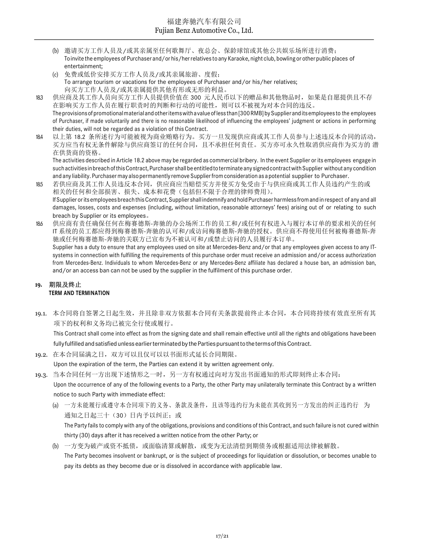- (b) 邀请买方工作人员及/或其亲属至任何歌舞厅、夜总会、保龄球馆或其他公共娱乐场所进行消费; To invite the employees of Purchaser and/or his/her relatives to any Karaoke, night club, bowling or other public places of entertainment;
- (c) 免费或低价安排买方工作人员及/或其亲属旅游、度假; To arrange tourism or vacations for the employees of Purchaser and/or his/her relatives; 向买方工作人员及/或其亲属提供其他有形或无形的利益。
- 183 供应商及其工作人员向买方工作人员提供价值在 300 元人民币以下的赠品和其他物品时, 如果是自愿提供且不存 在影响买方工作人员在履行职责时的判断和行动的可能性,则可以不被视为对本合同的违反。 The provisions of promotional material and other items with a value of less than [300 RMB] by Supplier and its employees to the employees of Purchaser, if made voluntarily and there is no reasonable likelihood of influencing the employees' judgment or actions in performing their duties, will not be regarded as a violation of this Contract.
- 18.4 以上第 18.2 条所述行为可能被视为商业贿赂行为。买方一旦发现供应商或其工作人员参与上述违反本合同的活动, 买方应当有权无条件解除与供应商签订的任何合同,且不承担任何责任。买方亦可永久性取消供应商作为买方的 潜 在供货商的资格。

The activities described in Article 18.2 above may be regarded as commercial bribery. In the event Supplier or its employees engage in such activities in breach of this Contract, Purchaser shall be entitled to terminate any signed contract with Supplier without any condition and any liability. Purchaser may also permanently remove Supplier from consideration as a potential supplier to Purchaser.

- 18.5 若供应商及其工作人员违反本合同,供应商应当赔偿买方并使买方免受由于与供应商或其工作人员违约产生的或 相关的任何和全部损害、损失、成本和花费(包括但不限于合理的律师费用)。 If Supplier or its employees breach this Contract, Supplier shall indemnify and hold Purchaser harmless from and in respect of any and all damages, losses, costs and expenses (including, without limitation, reasonable attorneys' fees) arising out of or relating to such breach by Supplier or its employees。
- 18.6 供应商有责任确保任何在梅赛德斯-奔驰的办公场所工作的员工和/或任何有权进入与履行本订单的要求相关的任何 IT 系统的员工都应得到梅赛德斯-奔驰的认可和/或访问梅赛德斯-奔驰的授权。供应商不得使用任何被梅赛德斯-奔 驰或任何梅赛德斯-奔驰的关联方已宣布为不被认可和/或禁止访问的人员履行本订单。 Supplier has a duty to ensure that any employees used on site at Mercedes-Benz and/or that any employees given access to any ITsystems in connection with fulfilling the requirements of this purchase order must receive an admission and/or access authorization from Mercedes-Benz. Individuals to whom Mercedes-Benz or any Mercedes-Benz affiliate has declared a house ban, an admission ban, and/or an access ban can not be used by the supplier in the fulfilment of this purchase order.

#### 19. 期限及终止 TERM AND TERMINATION

19.1. 本合同将自签署之日起生效,并且除非双方依据本合同有关条款提前终止本合同,本合同将持续有效直至所有其 项下的权利和义务均已被完全行使或履行。

This Contract shall come into effect as from the signing date and shall remain effective until all the rights and obligations have been fully fulfilled and satisfied unless earlier terminated by the Parties pursuant to the terms of this Contract.

- 19.2. 在本合同届满之日,双方可以且仅可以以书面形式延长合同期限。
	- Upon the expiration of the term, the Parties can extend it by written agreement only.
- 19.3. 当本合同任何一方出现下述情形之一时,另一方有权通过向对方发出书面通知的形式即刻终止本合同: Upon the occurrence of any of the following events to a Party, the other Party may unilaterally terminate this Contract by a written notice to such Party with immediate effect:
	- (a) 一方未能履行或遵守本合同项下的义务、条款及条件,且该等违约行为未能在其收到另一方发出的纠正违约行 为 通知之日起三十(30)日内予以纠正;或 The Party fails to comply with any of the obligations, provisions and conditions of this Contract, and such failure is not cured within thirty (30) days after it has received a written notice from the other Party; or
	- (b) 一方变为破产或资不抵债,或面临清算或解散,或变为无法清偿到期债务或根据适用法律被解散。 The Party becomes insolvent or bankrupt, or is the subject of proceedings for liquidation or dissolution, or becomes unable to pay its debts as they become due or is dissolved in accordance with applicable law.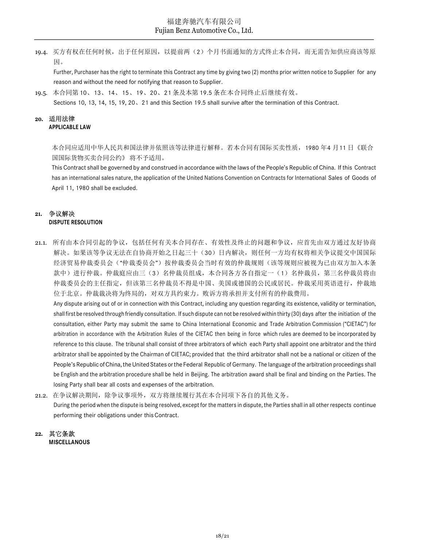19.4. 买方有权在任何时候,出于任何原因,以提前两(2)个月书面通知的方式终止本合同,而无需告知供应商该等原 因。

Further, Purchaser has the right to terminate this Contract any time by giving two (2) months prior written notice to Supplier for any reason and without the need for notifying that reason to Supplier.

19.5. 本合同第 10、13、14、15、19、20、21 条及本第 19.5 条在本合同终止后继续有效。

Sections 10, 13, 14, 15, 19, 20、21 and this Section 19.5 shall survive after the termination of this Contract.

#### 20. 适用法律 APPLICABLE LAW

本合同应适用中华人民共和国法律并依照该等法律进行解释。若本合同有国际买卖性质,1980 年4 月11 日《联合 国国际货物买卖合同公约》 将不予适用。

This Contract shall be governed by and construed in accordance with the laws of the People's Republic of China. If this Contract has an international sales nature, the application of the United Nations Convention on Contracts for International Sales of Goods of April 11, 1980 shall be excluded.

#### 21. 争议解决 DISPUTE RESOLUTION

21.1. 所有由本合同引起的争议,包括任何有关本合同存在、有效性及终止的问题和争议,应首先由双方通过友好协商 解决。如果该等争议无法在自协商开始之日起三十(30)日内解决,则任何一方均有权将相关争议提交中国国际 经济贸易仲裁委员会("仲裁委员会")按仲裁委员会当时有效的仲裁规则(该等规则应被视为已由双方加入本条 款中)进行仲裁。仲裁庭应由三(3)名仲裁员组成,本合同各方各自指定一(1)名仲裁员,第三名仲裁员将由 仲裁委员会的主任指定,但该第三名仲裁员不得是中国、美国或德国的公民或居民。仲裁采用英语进行,仲裁地 位于北京。仲裁裁决将为终局的,对双方具约束力。败诉方将承担并支付所有的仲裁费用。

Any dispute arising out of or in connection with this Contract, including any question regarding its existence, validity or termination, shall first be resolved through friendly consultation. If such dispute can not be resolved within thirty (30) days after the initiation of the consultation, either Party may submit the same to China International Economic and Trade Arbitration Commission ("CIETAC") for arbitration in accordance with the Arbitration Rules of the CIETAC then being in force which rules are deemed to be incorporated by reference to this clause. The tribunal shall consist of three arbitrators of which each Party shall appoint one arbitrator and the third arbitrator shall be appointed by the Chairman of CIETAC; provided that the third arbitrator shall not be a national or citizen of the People's Republic of China, the United States or the Federal Republic of Germany. The language of the arbitration proceedings shall be English and the arbitration procedure shall be held in Beijing. The arbitration award shall be final and binding on the Parties. The losing Party shall bear all costs and expenses of the arbitration.

21.2. 在争议解决期间,除争议事项外,双方将继续履行其在本合同项下各自的其他义务。 During the period when the dispute is being resolved, except for the matters in dispute, the Parties shall in all other respects continue performing their obligations under this Contract.

#### 22. 其它条款 MISCELLANOUS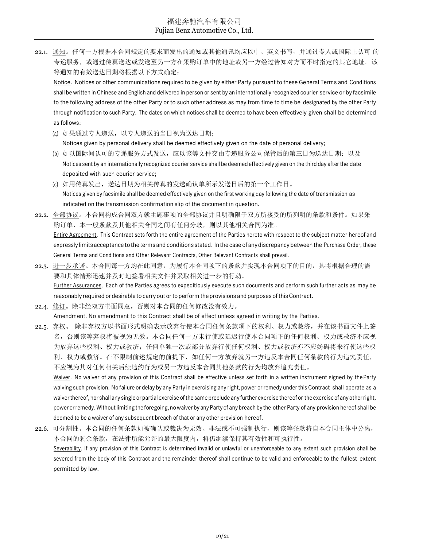22.1. 通知。任何一方根据本合同规定的要求而发出的通知或其他通讯均应以中、英文书写,并通过专人或国际上认可 的 专递服务,或通过传真送达或发送至另一方在采购订单中的地址或另一方经过告知对方而不时指定的其它地址。该 等通知的有效送达日期将根据以下方式确定:

Notice. Notices or other communications required to be given by either Party pursuant to these General Terms and Conditions shall be written in Chinese and English and delivered in person or sent by an internationally recognized courier service or by facsimile to the following address of the other Party or to such other address as may from time to time be designated by the other Party through notification to such Party. The dates on which notices shall be deemed to have been effectively given shall be determined as follows:

- (a) 如果通过专人递送,以专人递送的当日视为送达日期; Notices given by personal delivery shall be deemed effectively given on the date of personal delivery;
- (b) 如以国际间认可的专递服务方式发送, 应以该等文件交由专递服务公司保管后的第三日为送达日期; 以及 Notices sent by an internationally recognized courier service shall be deemed effectively given on the third day after the date deposited with such courier service;
- (c) 如用传真发出,送达日期为相关传真的发送确认单所示发送日后的第一个工作日。 Notices given by facsimile shall be deemed effectively given on the first working day following the date of transmission as indicated on the transmission confirmation slip of the document in question.
- 22.2. 全部协议。本合同构成合同双方就主题事项的全部协议并且明确限于双方所接受的所列明的条款和条件。如果采 购订单、本一般条款及其他相关合同之间有任何分歧,则以其他相关合同为准。 Entire Agreement. This Contract sets forth the entire agreement of the Parties hereto with respect to the subject matter hereof and expressly limits acceptance to the terms and conditions stated. In the case of any discrepancy between the Purchase Order, these General Terms and Conditions and Other Relevant Contracts, Other Relevant Contracts shall prevail.
- 22.3. 进一步承诺。本合同每一方均在此同意,为履行本合同项下的条款并实现本合同项下的目的,其将根据合理的需 要和具体情形迅速并及时地签署相关文件并采取相关进一步的行动。 Further Assurances. Each of the Parties agrees to expeditiously execute such documents and perform such further acts as may be reasonably required or desirable to carry out or to perform the provisions and purposes of this Contract.

22.4. 修订。除非经双方书面同意,否则对本合同的任何修改没有效力。 Amendment. No amendment to this Contract shall be of effect unless agreed in writing by the Parties.

- 22.5. 弃权。除非弃权方以书面形式明确表示放弃行使本合同任何条款项下的权利、权力或救济,并在该书面文件上签 名,否则该等弃权将被视为无效。本合同任何一方未行使或延迟行使本合同项下的任何权利、权力或救济不应视 为放弃这些权利、权力或救济;任何单独一次或部分放弃行使任何权利、权力或救济亦不应妨碍将来行使这些权 利、权力或救济。在不限制前述规定的前提下,如任何一方放弃就另一方违反本合同任何条款的行为追究责任, 不应视为其对任何相关后续违约行为或另一方违反本合同其他条款的行为均放弃追究责任。 Waiver. No waiver of any provision of this Contract shall be effective unless set forth in a written instrument signed by the Party waiving such provision. No failure or delay by any Party in exercising any right, power or remedy under this Contract shall operate as a waiver thereof, nor shall any single or partial exercise of the same preclude any further exercise thereof or the exercise of any other right, power or remedy. Without limiting the foregoing, no waiver by any Party of any breach by the other Party of any provision hereof shall be deemed to be a waiver of any subsequent breach of that or any other provision hereof.
- 22.6. 可分割性。本合同的任何条款如被确认或裁决为无效、非法或不可强制执行,则该等条款将自本合同主体中分离, 本合同的剩余条款,在法律所能允许的最大限度内,将仍继续保持其有效性和可执行性。 Severability. If any provision of this Contract is determined invalid or unlawful or unenforceable to any extent such provision shall be severed from the body of this Contract and the remainder thereof shall continue to be valid and enforceable to the fullest extent permitted by law.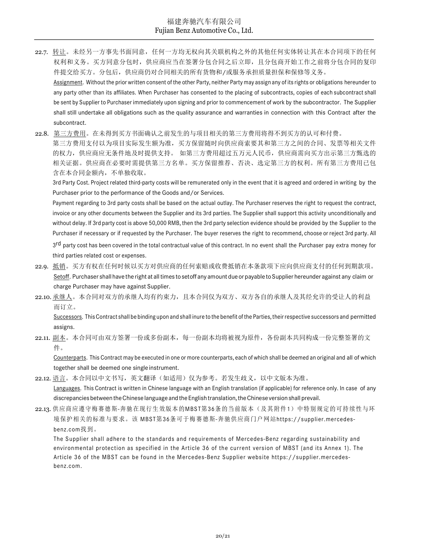- 22.7. 转让。未经另一方事先书面同意,任何一方均无权向其关联机构之外的其他任何实体转让其在本合同项下的任何 权利和义务。买方同意分包时,供应商应当在签署分包合同之后立即,且分包商开始工作之前将分包合同的复印 件提交给买方。分包后,供应商仍对合同相关的所有货物和/或服务承担质量担保和保修等义务。 Assignment. Without the prior written consent of the other Party, neither Party may assign any of its rights or obligations hereunder to any party other than its affiliates. When Purchaser has consented to the placing of subcontracts, copies of each subcontract shall
	- be sent by Supplier to Purchaser immediately upon signing and prior to commencement of work by the subcontractor. The Supplier shall still undertake all obligations such as the quality assurance and warranties in connection with this Contract after the subcontract.
- 22.8. 第三方费用。在未得到买方书面确认之前发生的与项目相关的第三方费用将得不到买方的认可和付费。

第三方费用支付以为项目实际发生额为准,买方保留随时向供应商索要其和第三方之间的合同、发票等相关文件 的权力,供应商应无条件地及时提供支持。 如第三方费用超过五万元人民币,供应商需向买方出示第三方甄选的 相关证据。供应商在必要时需提供第三方名单。买方保留推荐、否决、选定第三方的权利。所有第三方费用已包 含在本合同金额内,不单独收取。

3rd Party Cost. Project related third-party costs will be remunerated only in the event that it is agreed and ordered in writing by the Purchaser prior to the performance of the Goods and/or Services.

Payment regarding to 3rd party costs shall be based on the actual outlay. The Purchaser reserves the right to request the contract, invoice or any other documents between the Supplier and its 3rd parties. The Supplier shall support this activity unconditionally and without delay. If 3rd party cost is above 50,000 RMB, then the 3rd party selection evidence should be provided by the Supplier to the Purchaser if necessary or if requested by the Purchaser. The buyer reserves the right to recommend, choose or reject 3rd party. All 3<sup>rd</sup> party cost has been covered in the total contractual value of this contract. In no event shall the Purchaser pay extra money for third parties related cost or expenses.

- 22.9. 抵销。买方有权在任何时候以买方对供应商的任何索赔或收费抵销在本条款项下应向供应商支付的任何到期款项。 Setoff. Purchaser shall have the right at all times to setoff any amount due or payable to Supplier hereunder against any claim or charge Purchaser may have against Supplier.
- 22.10. 承继人。本合同对双方的承继人均有约束力,且本合同仅为双方、双方各自的承继人及其经允许的受让人的利益 而订立。

Successors. This Contract shall be binding upon and shall inure to the benefit of the Parties, their respective successors and permitted assigns.

## 22.11. 副本。本合同可由双方签署一份或多份副本,每一份副本均将被视为原件,各份副本共同构成一份完整签署的文 件。

Counterparts. This Contract may be executed in one or more counterparts, each of which shall be deemed an original and all of which together shall be deemed one single instrument.

22.12. 语言。本合同以中文书写,英文翻译(如适用)仅为参考。若发生歧义,以中文版本为准。

Languages. This Contract is written in Chinese language with an English translation (if applicable) for reference only. In case of any discrepancies between the Chinese language and the English translation, the Chinese version shall prevail.

22.13. 供应商应遵守梅赛德斯-奔驰在现行生效版本的MBST第36条的当前版本(及其附件1)中特别规定的可持续性与环 境保护相关的标准与要求。该 MBST第36条可于梅赛德斯-奔驰供应商门户网站https://supplier.mercedesbenz.com找到。

The Supplier shall adhere to the standards and requirements of Mercedes-Benz regarding sustainability and environmental protection as specified in the Article 36 of the current version of MBST (and its Annex 1). The Article 36 of the MBST can be found in the Mercedes-Benz Supplier website https://supplier.mercedesbenz.com.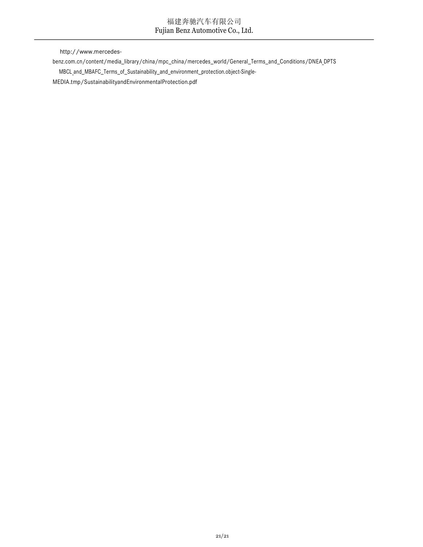http://www.mercedes-

benz.com.cn/content/media\_library/china/mpc\_china/mercedes\_world/General\_Terms\_and\_Conditions/DNEA DPTS

MBCL and\_MBAFC\_Terms\_of\_Sustainability\_and\_environment\_protection.object-Single-

MEDIA.tmp/SustainabilityandEnvironmentalProtection.pdf